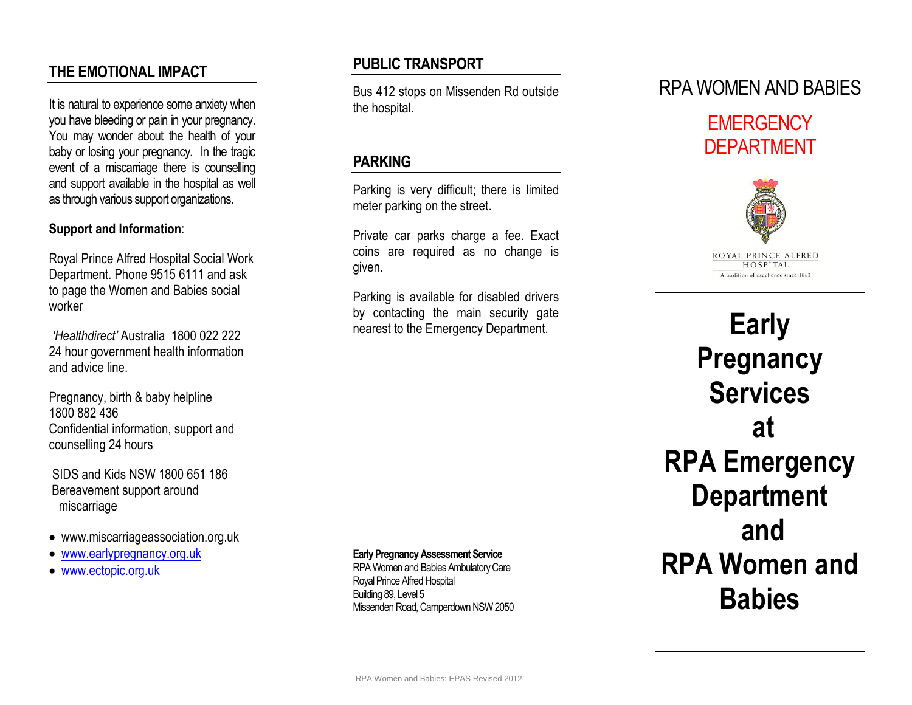## **THE EMOTIONAL IMPACT**

It is natural to experience some anxiety when you have bleeding or pain in your pregnancy. You may wonder about the health of your baby or losing your pregnancy. In the tragic event of a miscarriage there is counselling and support available in the hospital as well as through various support organizations.

#### **Support and Information**:

Royal Prince Alfred Hospital Social Work Department. Phone 9515 6111 and ask to page the Women and Babies social worker

*'Healthdirect'* Australia 1800 022 222 24 hour government health information and advice line.

Pregnancy, birth & baby helpline 1800 882 436 Confidential information, support and counselling 24 hours

SIDS and Kids NSW 1800 651 186 Bereavement support around miscarriage

- www.miscarriageassociation.org.uk
- [www.earlypregnancy.org.uk](http://www.earlypregnancy.org.uk/)
- [www.ectopic.org.uk](http://www.ectopic.org.uk/)

## **PUBLIC TRANSPORT**

Bus 412 stops on Missenden Rd outside the hospital.

## **PARKING**

Parking is very difficult; there is limited meter parking on the street.

Private car parks charge a fee. Exact coins are required as no change is given.

Parking is available for disabled drivers by contacting the main security gate nearest to the Emergency Department.

# RPA WOMEN AND BABIES

# **FMFRGFNCY** DEPARTMENT



**Early Pregnancy Services at RPA Emergency Department and RPA Women and Babies** 

RPA Women and Babies Ambulatory Care Royal Prince Alfred Hospital

**Early Pregnancy Assessment Service**

Building 89, Level 5 Missenden Road, Camperdown NSW 2050